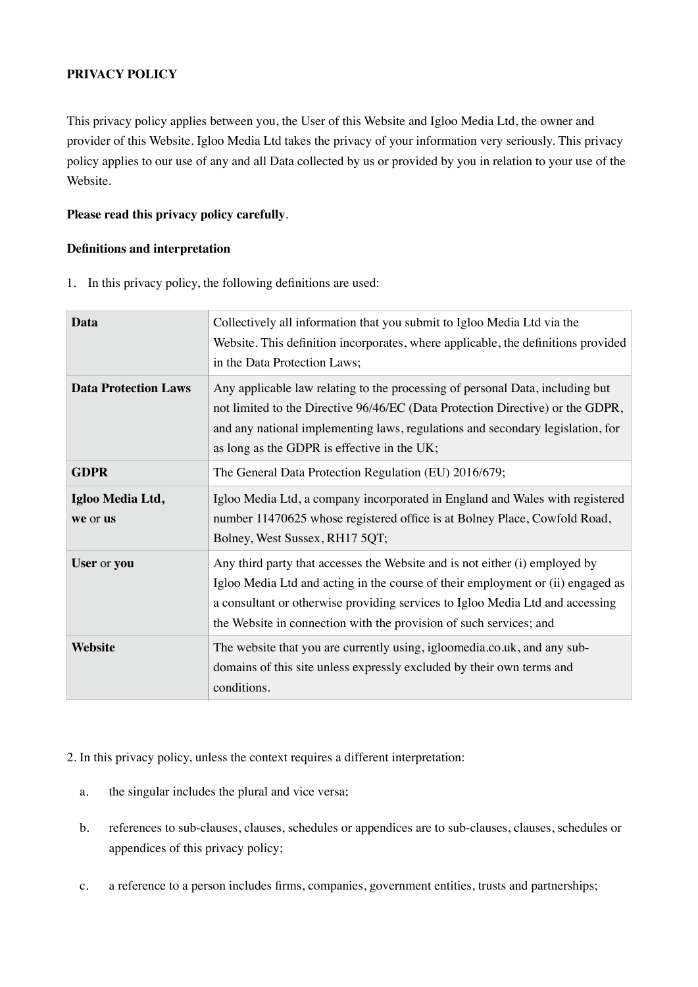## **PRIVACY POLICY**

This privacy policy applies between you, the User of this Website and Igloo Media Ltd, the owner and provider of this Website. Igloo Media Ltd takes the privacy of your information very seriously. This privacy policy applies to our use of any and all Data collected by us or provided by you in relation to your use of the Website.

## **Please read this privacy policy carefully**.

## **Definitions and interpretation**

1. In this privacy policy, the following definitions are used:

| Data                         | Collectively all information that you submit to Igloo Media Ltd via the<br>Website. This definition incorporates, where applicable, the definitions provided<br>in the Data Protection Laws;                                                                                                                          |
|------------------------------|-----------------------------------------------------------------------------------------------------------------------------------------------------------------------------------------------------------------------------------------------------------------------------------------------------------------------|
| <b>Data Protection Laws</b>  | Any applicable law relating to the processing of personal Data, including but<br>not limited to the Directive 96/46/EC (Data Protection Directive) or the GDPR,<br>and any national implementing laws, regulations and secondary legislation, for<br>as long as the GDPR is effective in the UK;                      |
| <b>GDPR</b>                  | The General Data Protection Regulation (EU) 2016/679;                                                                                                                                                                                                                                                                 |
| Igloo Media Ltd,<br>we or us | Igloo Media Ltd, a company incorporated in England and Wales with registered<br>number 11470625 whose registered office is at Bolney Place, Cowfold Road,<br>Bolney, West Sussex, RH17 5QT;                                                                                                                           |
| User or you                  | Any third party that accesses the Website and is not either (i) employed by<br>Igloo Media Ltd and acting in the course of their employment or (ii) engaged as<br>a consultant or otherwise providing services to Igloo Media Ltd and accessing<br>the Website in connection with the provision of such services; and |
| Website                      | The website that you are currently using, igloomedia.co.uk, and any sub-<br>domains of this site unless expressly excluded by their own terms and<br>conditions.                                                                                                                                                      |

2. In this privacy policy, unless the context requires a different interpretation:

- a. the singular includes the plural and vice versa;
- b. references to sub-clauses, clauses, schedules or appendices are to sub-clauses, clauses, schedules or appendices of this privacy policy;
- c. a reference to a person includes firms, companies, government entities, trusts and partnerships;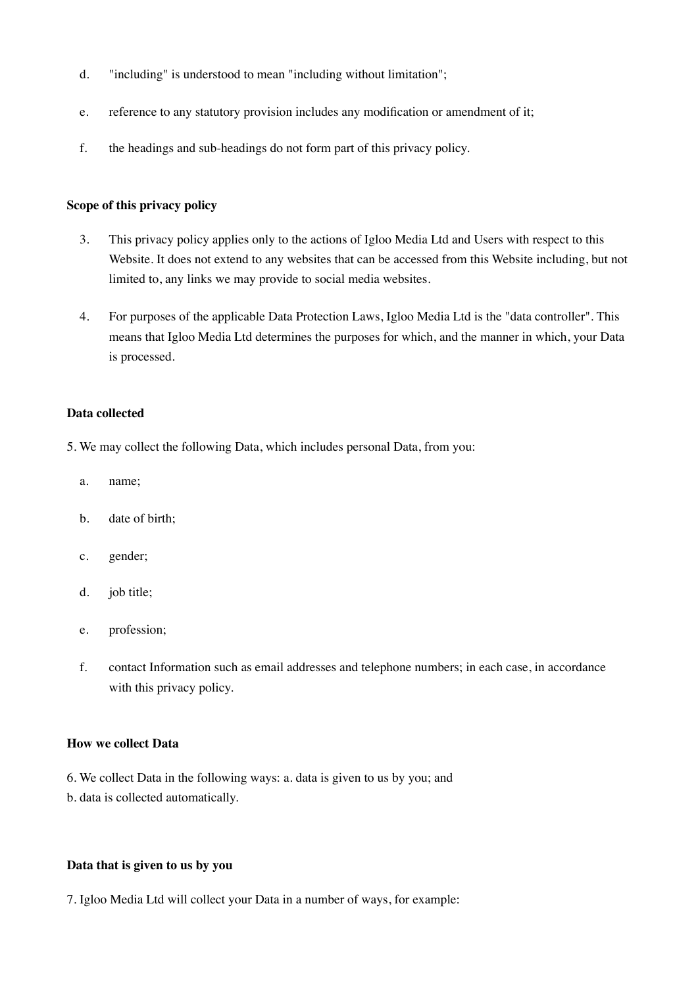- d. "including" is understood to mean "including without limitation";
- e. reference to any statutory provision includes any modification or amendment of it;
- f. the headings and sub-headings do not form part of this privacy policy.

### **Scope of this privacy policy**

- 3. This privacy policy applies only to the actions of Igloo Media Ltd and Users with respect to this Website. It does not extend to any websites that can be accessed from this Website including, but not limited to, any links we may provide to social media websites.
- 4. For purposes of the applicable Data Protection Laws, Igloo Media Ltd is the "data controller". This means that Igloo Media Ltd determines the purposes for which, and the manner in which, your Data is processed.

#### **Data collected**

- 5. We may collect the following Data, which includes personal Data, from you:
	- a. name;
	- b. date of birth;
	- c. gender;
	- d. job title;
	- e. profession;
	- f. contact Information such as email addresses and telephone numbers; in each case, in accordance with this privacy policy.

### **How we collect Data**

- 6. We collect Data in the following ways: a. data is given to us by you; and
- b. data is collected automatically.

## **Data that is given to us by you**

7. Igloo Media Ltd will collect your Data in a number of ways, for example: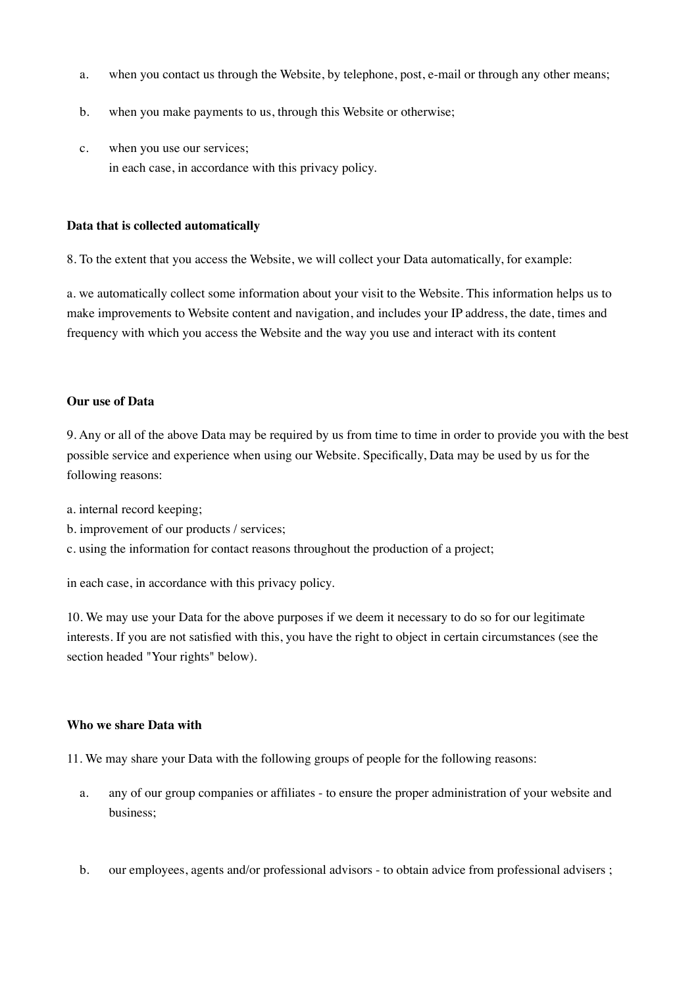- a. when you contact us through the Website, by telephone, post, e-mail or through any other means;
- b. when you make payments to us, through this Website or otherwise;
- c. when you use our services; in each case, in accordance with this privacy policy.

### **Data that is collected automatically**

8. To the extent that you access the Website, we will collect your Data automatically, for example:

a. we automatically collect some information about your visit to the Website. This information helps us to make improvements to Website content and navigation, and includes your IP address, the date, times and frequency with which you access the Website and the way you use and interact with its content

#### **Our use of Data**

9. Any or all of the above Data may be required by us from time to time in order to provide you with the best possible service and experience when using our Website. Specifically, Data may be used by us for the following reasons:

- a. internal record keeping;
- b. improvement of our products / services;

c. using the information for contact reasons throughout the production of a project;

in each case, in accordance with this privacy policy.

10. We may use your Data for the above purposes if we deem it necessary to do so for our legitimate interests. If you are not satisfied with this, you have the right to object in certain circumstances (see the section headed "Your rights" below).

#### **Who we share Data with**

11. We may share your Data with the following groups of people for the following reasons:

- a. any of our group companies or affiliates to ensure the proper administration of your website and business;
- b. our employees, agents and/or professional advisors to obtain advice from professional advisers ;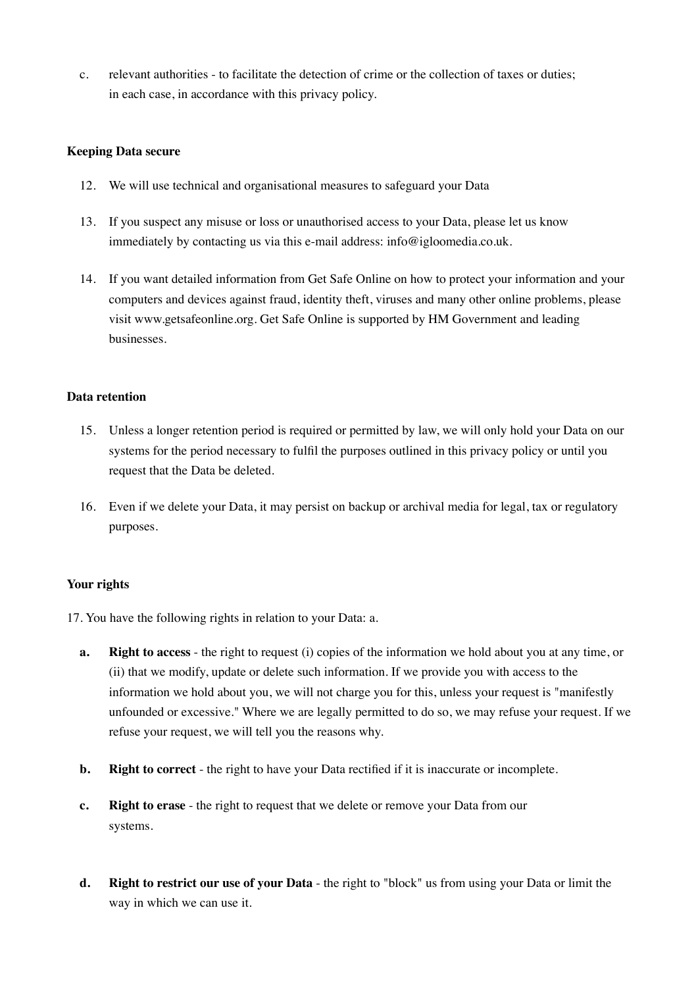c. relevant authorities - to facilitate the detection of crime or the collection of taxes or duties; in each case, in accordance with this privacy policy.

## **Keeping Data secure**

- 12. We will use technical and organisational measures to safeguard your Data
- 13. If you suspect any misuse or loss or unauthorised access to your Data, please let us know immediately by contacting us via this e-mail address: info@igloomedia.co.uk.
- 14. If you want detailed information from Get Safe Online on how to protect your information and your computers and devices against fraud, identity theft, viruses and many other online problems, please visit www.getsafeonline.org. Get Safe Online is supported by HM Government and leading businesses.

## **Data retention**

- 15. Unless a longer retention period is required or permitted by law, we will only hold your Data on our systems for the period necessary to fulfil the purposes outlined in this privacy policy or until you request that the Data be deleted.
- 16. Even if we delete your Data, it may persist on backup or archival media for legal, tax or regulatory purposes.

## **Your rights**

17. You have the following rights in relation to your Data: a.

- **a. Right to access**  the right to request (i) copies of the information we hold about you at any time, or (ii) that we modify, update or delete such information. If we provide you with access to the information we hold about you, we will not charge you for this, unless your request is "manifestly unfounded or excessive." Where we are legally permitted to do so, we may refuse your request. If we refuse your request, we will tell you the reasons why.
- **b. Right to correct**  the right to have your Data rectified if it is inaccurate or incomplete.
- **c. Right to erase**  the right to request that we delete or remove your Data from our systems.
- **d. Right to restrict our use of your Data**  the right to "block" us from using your Data or limit the way in which we can use it.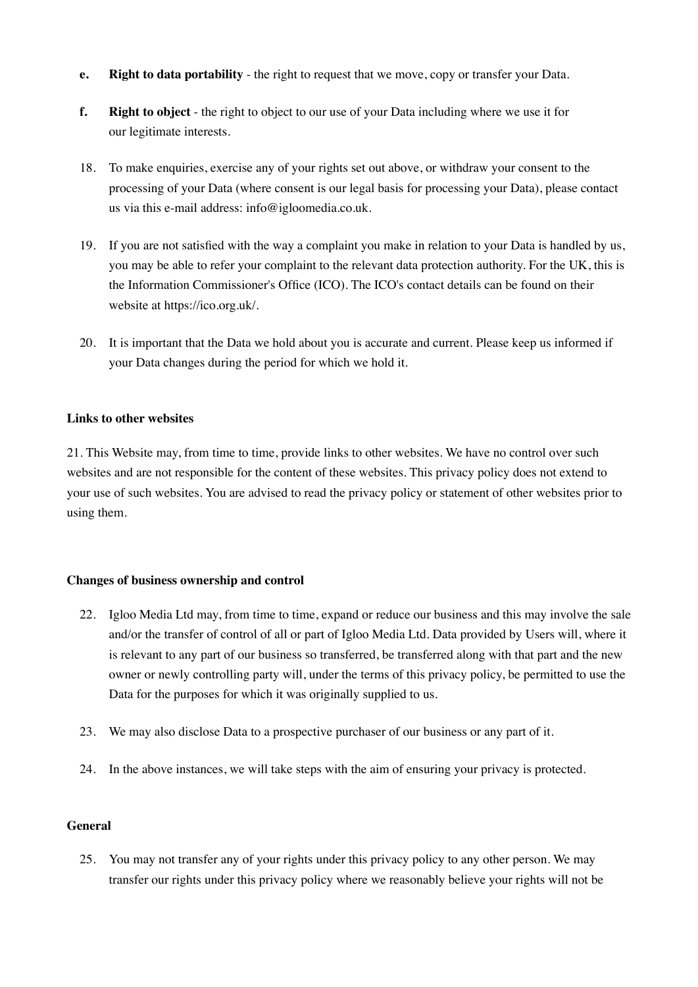- **e. Right to data portability**  the right to request that we move, copy or transfer your Data.
- **f. Right to object**  the right to object to our use of your Data including where we use it for our legitimate interests.
- 18. To make enquiries, exercise any of your rights set out above, or withdraw your consent to the processing of your Data (where consent is our legal basis for processing your Data), please contact us via this e-mail address: info@igloomedia.co.uk.
- 19. If you are not satisfied with the way a complaint you make in relation to your Data is handled by us, you may be able to refer your complaint to the relevant data protection authority. For the UK, this is the Information Commissioner's Office (ICO). The ICO's contact details can be found on their website at https://ico.org.uk/.
- 20. It is important that the Data we hold about you is accurate and current. Please keep us informed if your Data changes during the period for which we hold it.

### **Links to other websites**

21. This Website may, from time to time, provide links to other websites. We have no control over such websites and are not responsible for the content of these websites. This privacy policy does not extend to your use of such websites. You are advised to read the privacy policy or statement of other websites prior to using them.

### **Changes of business ownership and control**

- 22. Igloo Media Ltd may, from time to time, expand or reduce our business and this may involve the sale and/or the transfer of control of all or part of Igloo Media Ltd. Data provided by Users will, where it is relevant to any part of our business so transferred, be transferred along with that part and the new owner or newly controlling party will, under the terms of this privacy policy, be permitted to use the Data for the purposes for which it was originally supplied to us.
- 23. We may also disclose Data to a prospective purchaser of our business or any part of it.
- 24. In the above instances, we will take steps with the aim of ensuring your privacy is protected.

### **General**

25. You may not transfer any of your rights under this privacy policy to any other person. We may transfer our rights under this privacy policy where we reasonably believe your rights will not be